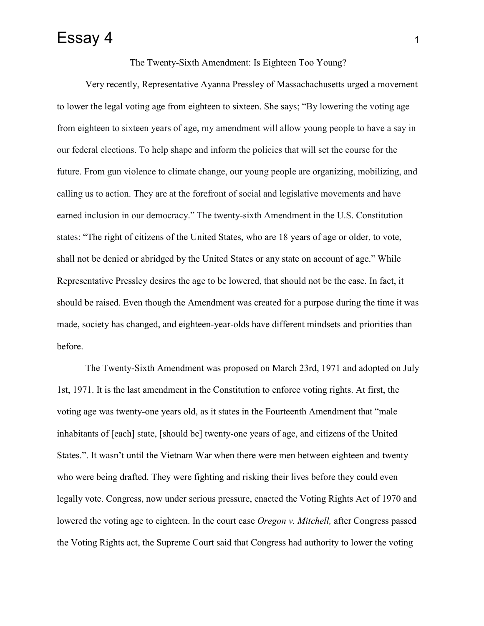## Essay 4 1

## The Twenty-Sixth Amendment: Is Eighteen Too Young?

Very recently, Representative Ayanna Pressley of Massachachusetts urged a movement to lower the legal voting age from eighteen to sixteen. She says; "By lowering the voting age from eighteen to sixteen years of age, my amendment will allow young people to have a say in our federal elections. To help shape and inform the policies that will set the course for the future. From gun violence to climate change, our young people are organizing, mobilizing, and calling us to action. They are at the forefront of social and legislative movements and have earned inclusion in our democracy." The twenty-sixth Amendment in the U.S. Constitution states: "The right of citizens of the United States, who are 18 years of age or older, to vote, shall not be denied or abridged by the United States or any state on account of age." While Representative Pressley desires the age to be lowered, that should not be the case. In fact, it should be raised. Even though the Amendment was created for a purpose during the time it was made, society has changed, and eighteen-year-olds have different mindsets and priorities than before.

The Twenty-Sixth Amendment was proposed on March 23rd, 1971 and adopted on July 1st, 1971. It is the last amendment in the Constitution to enforce voting rights. At first, the voting age was twenty-one years old, as it states in the Fourteenth Amendment that "male inhabitants of [each] state, [should be] twenty-one years of age, and citizens of the United States.". It wasn't until the Vietnam War when there were men between eighteen and twenty who were being drafted. They were fighting and risking their lives before they could even legally vote. Congress, now under serious pressure, enacted the Voting Rights Act of 1970 and lowered the voting age to eighteen. In the court case *Oregon v. Mitchell,* after Congress passed the Voting Rights act, the Supreme Court said that Congress had authority to lower the voting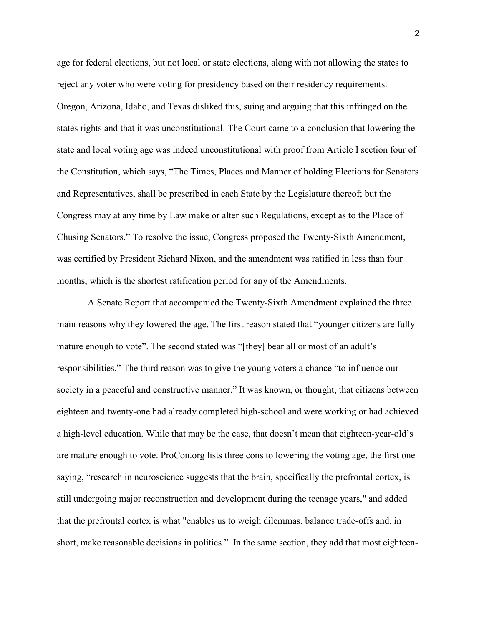age for federal elections, but not local or state elections, along with not allowing the states to reject any voter who were voting for presidency based on their residency requirements. Oregon, Arizona, Idaho, and Texas disliked this, suing and arguing that this infringed on the states rights and that it was unconstitutional. The Court came to a conclusion that lowering the state and local voting age was indeed unconstitutional with proof from Article I section four of the Constitution, which says, "The Times, Places and Manner of holding Elections for Senators and Representatives, shall be prescribed in each State by the Legislature thereof; but the Congress may at any time by Law make or alter such Regulations, except as to the Place of Chusing Senators." To resolve the issue, Congress proposed the Twenty-Sixth Amendment, was certified by President Richard Nixon, and the amendment was ratified in less than four months, which is the shortest ratification period for any of the Amendments.

A Senate Report that accompanied the Twenty-Sixth Amendment explained the three main reasons why they lowered the age. The first reason stated that "younger citizens are fully mature enough to vote". The second stated was "[they] bear all or most of an adult's responsibilities." The third reason was to give the young voters a chance "to influence our society in a peaceful and constructive manner." It was known, or thought, that citizens between eighteen and twenty-one had already completed high-school and were working or had achieved a high-level education. While that may be the case, that doesn't mean that eighteen-year-old's are mature enough to vote. ProCon.org lists three cons to lowering the voting age, the first one saying, "research in neuroscience suggests that the brain, specifically the prefrontal cortex, is still undergoing major reconstruction and development during the teenage years," and added that the prefrontal cortex is what "enables us to weigh dilemmas, balance trade-offs and, in short, make reasonable decisions in politics." In the same section, they add that most eighteen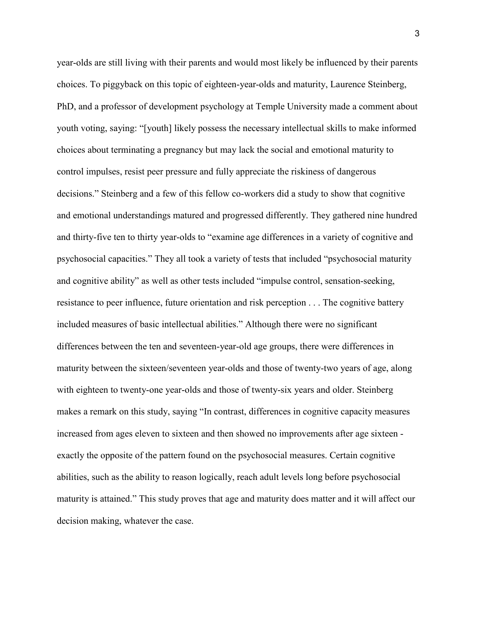year-olds are still living with their parents and would most likely be influenced by their parents choices. To piggyback on this topic of eighteen-year-olds and maturity, Laurence Steinberg, PhD, and a professor of development psychology at Temple University made a comment about youth voting, saying: "[youth] likely possess the necessary intellectual skills to make informed choices about terminating a pregnancy but may lack the social and emotional maturity to control impulses, resist peer pressure and fully appreciate the riskiness of dangerous decisions." Steinberg and a few of this fellow co-workers did a study to show that cognitive and emotional understandings matured and progressed differently. They gathered nine hundred and thirty-five ten to thirty year-olds to "examine age differences in a variety of cognitive and psychosocial capacities." They all took a variety of tests that included "psychosocial maturity and cognitive ability" as well as other tests included "impulse control, sensation-seeking, resistance to peer influence, future orientation and risk perception . . . The cognitive battery included measures of basic intellectual abilities." Although there were no significant differences between the ten and seventeen-year-old age groups, there were differences in maturity between the sixteen/seventeen year-olds and those of twenty-two years of age, along with eighteen to twenty-one year-olds and those of twenty-six years and older. Steinberg makes a remark on this study, saying "In contrast, differences in cognitive capacity measures increased from ages eleven to sixteen and then showed no improvements after age sixteen exactly the opposite of the pattern found on the psychosocial measures. Certain cognitive abilities, such as the ability to reason logically, reach adult levels long before psychosocial maturity is attained." This study proves that age and maturity does matter and it will affect our decision making, whatever the case.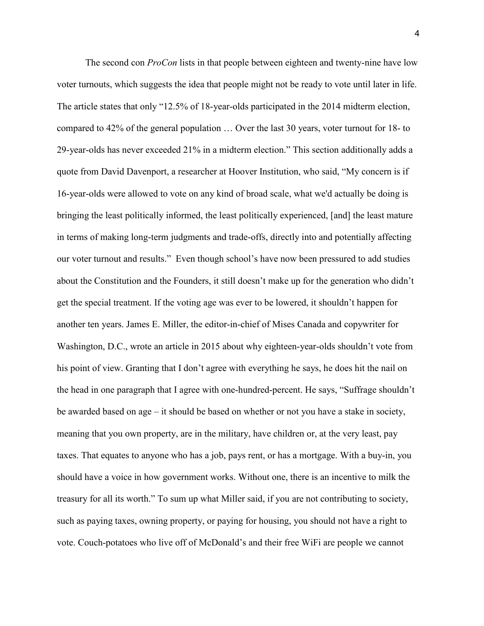The second con *ProCon* lists in that people between eighteen and twenty-nine have low voter turnouts, which suggests the idea that people might not be ready to vote until later in life. The article states that only "12.5% of 18-year-olds participated in the 2014 midterm election, compared to 42% of the general population … Over the last 30 years, voter turnout for 18- to 29-year-olds has never exceeded 21% in a midterm election." This section additionally adds a quote from David Davenport, a researcher at Hoover Institution, who said, "My concern is if 16-year-olds were allowed to vote on any kind of broad scale, what we'd actually be doing is bringing the least politically informed, the least politically experienced, [and] the least mature in terms of making long-term judgments and trade-offs, directly into and potentially affecting our voter turnout and results." Even though school's have now been pressured to add studies about the Constitution and the Founders, it still doesn't make up for the generation who didn't get the special treatment. If the voting age was ever to be lowered, it shouldn't happen for another ten years. James E. Miller, the editor-in-chief of Mises Canada and copywriter for Washington, D.C., wrote an article in 2015 about why eighteen-year-olds shouldn't vote from his point of view. Granting that I don't agree with everything he says, he does hit the nail on the head in one paragraph that I agree with one-hundred-percent. He says, "Suffrage shouldn't be awarded based on age *–* it should be based on whether or not you have a stake in society, meaning that you own property, are in the military, have children or, at the very least, pay taxes. That equates to anyone who has a job, pays rent, or has a mortgage. With a buy-in, you should have a voice in how government works. Without one, there is an incentive to milk the treasury for all its worth." To sum up what Miller said, if you are not contributing to society, such as paying taxes, owning property, or paying for housing, you should not have a right to vote. Couch-potatoes who live off of McDonald's and their free WiFi are people we cannot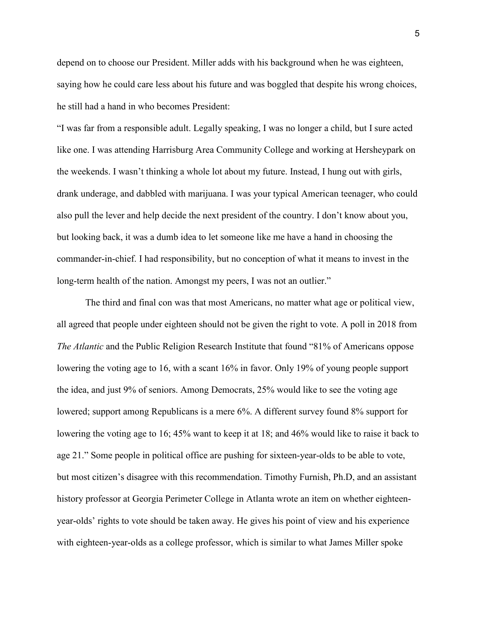depend on to choose our President. Miller adds with his background when he was eighteen, saying how he could care less about his future and was boggled that despite his wrong choices, he still had a hand in who becomes President:

"I was far from a responsible adult. Legally speaking, I was no longer a child, but I sure acted like one. I was attending Harrisburg Area Community College and working at Hersheypark on the weekends. I wasn't thinking a whole lot about my future. Instead, I hung out with girls, drank underage, and dabbled with marijuana. I was your typical American teenager, who could also pull the lever and help decide the next president of the country. I don't know about you, but looking back, it was a dumb idea to let someone like me have a hand in choosing the commander-in-chief. I had responsibility, but no conception of what it means to invest in the long-term health of the nation. Amongst my peers, I was not an outlier."

The third and final con was that most Americans, no matter what age or political view, all agreed that people under eighteen should not be given the right to vote. A poll in 2018 from *The Atlantic* and the Public Religion Research Institute that found "81% of Americans oppose lowering the voting age to 16, with a scant 16% in favor. Only 19% of young people support the idea, and just 9% of seniors. Among Democrats, 25% would like to see the voting age lowered; support among Republicans is a mere 6%. A different survey found 8% support for lowering the voting age to 16; 45% want to keep it at 18; and 46% would like to raise it back to age 21." Some people in political office are pushing for sixteen-year-olds to be able to vote, but most citizen's disagree with this recommendation. Timothy Furnish, Ph.D, and an assistant history professor at Georgia Perimeter College in Atlanta wrote an item on whether eighteenyear-olds' rights to vote should be taken away. He gives his point of view and his experience with eighteen-year-olds as a college professor, which is similar to what James Miller spoke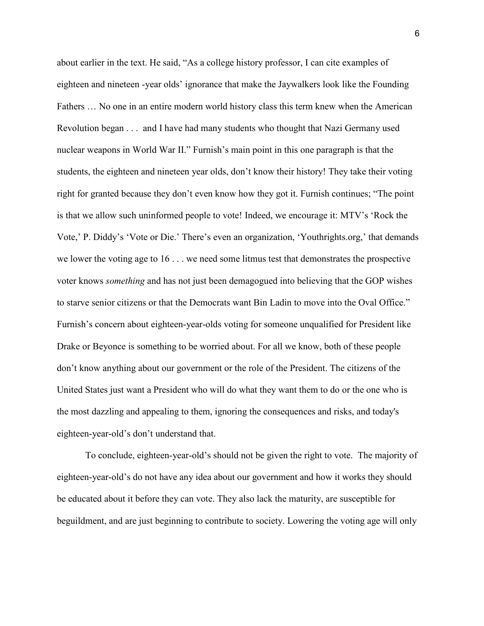about earlier in the text. He said, "As a college history professor, I can cite examples of eighteen and nineteen -year olds' ignorance that make the Jaywalkers look like the Founding Fathers … No one in an entire modern world history class this term knew when the American Revolution began . . . and I have had many students who thought that Nazi Germany used nuclear weapons in World War II." Furnish's main point in this one paragraph is that the students, the eighteen and nineteen year olds, don't know their history! They take their voting right for granted because they don't even know how they got it. Furnish continues; "The point is that we allow such uninformed people to vote! Indeed, we encourage it: MTV's 'Rock the Vote,' P. Diddy's 'Vote or Die.' There's even an organization, 'Youthrights.org,' that demands we lower the voting age to 16 . . . we need some litmus test that demonstrates the prospective voter knows *something* and has not just been demagogued into believing that the GOP wishes to starve senior citizens or that the Democrats want Bin Ladin to move into the Oval Office." Furnish's concern about eighteen-year-olds voting for someone unqualified for President like Drake or Beyonce is something to be worried about. For all we know, both of these people don't know anything about our government or the role of the President. The citizens of the United States just want a President who will do what they want them to do or the one who is the most dazzling and appealing to them, ignoring the consequences and risks, and today's eighteen-year-old's don't understand that.

To conclude, eighteen-year-old's should not be given the right to vote. The majority of eighteen-year-old's do not have any idea about our government and how it works they should be educated about it before they can vote. They also lack the maturity, are susceptible for beguildment, and are just beginning to contribute to society. Lowering the voting age will only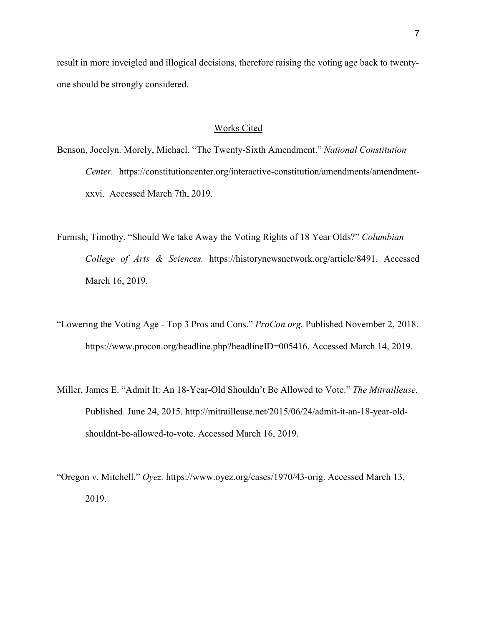result in more inveigled and illogical decisions, therefore raising the voting age back to twentyone should be strongly considered.

## Works Cited

- Benson, Jocelyn. Morely, Michael. "The Twenty-Sixth Amendment." *National Constitution Center.* https://constitutioncenter.org/interactive-constitution/amendments/amendmentxxvi. Accessed March 7th, 2019.
- Furnish, Timothy. "Should We take Away the Voting Rights of 18 Year Olds?" *Columbian College of Arts & Sciences.* https://historynewsnetwork.org/article/8491. Accessed March 16, 2019.
- "Lowering the Voting Age Top 3 Pros and Cons." *ProCon.org.* Published November 2, 2018. https://www.procon.org/headline.php?headlineID=005416. Accessed March 14, 2019.
- Miller, James E. "Admit It: An 18-Year-Old Shouldn't Be Allowed to Vote." *The Mitrailleuse.*  Published. June 24, 2015. http://mitrailleuse.net/2015/06/24/admit-it-an-18-year-oldshouldnt-be-allowed-to-vote. Accessed March 16, 2019.
- "Oregon v. Mitchell." *Oyez.* https://www.oyez.org/cases/1970/43-orig. Accessed March 13, 2019.